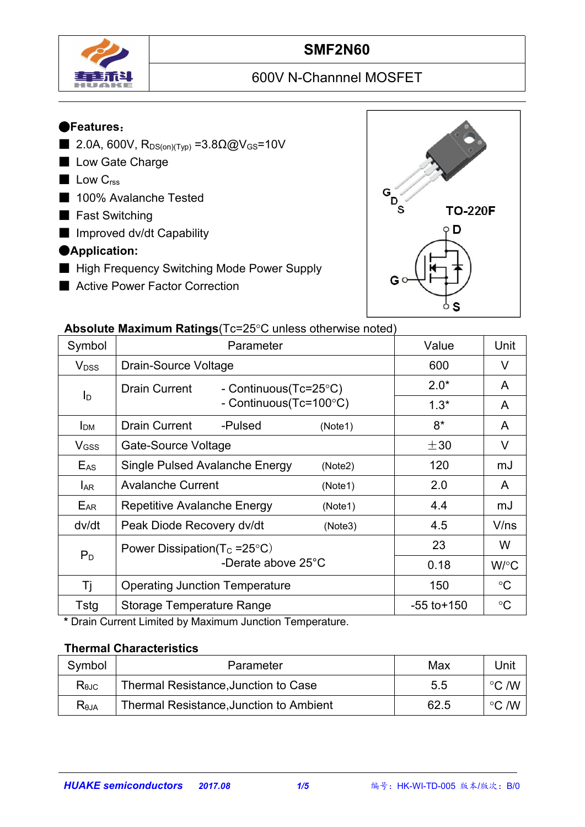

# **SMF2N60**

# 600V N-Channnel MOSFET

## ●**Features**:

- 2.0A, 600V,  $R_{DS(on)(Type)} = 3.8Ω@V_{GS} = 10V$
- Low Gate Charge
- Low C<sub>rss</sub>
- 100% Avalanche Tested
- Fast Switching
- Improved dv/dt Capability

## ●**Application:**

- High Frequency Switching Mode Power Supply
- Active Power Factor Correction



#### **Absolute Maximum Ratings** (Tc=25°C unless otherwise noted)

|                         | $\sim$ . The measurement is a consequence of the control increase of the control increase of the control increase of the control increase of the control increase of the control increase of the control increase of the contro |                 |                 |
|-------------------------|---------------------------------------------------------------------------------------------------------------------------------------------------------------------------------------------------------------------------------|-----------------|-----------------|
| Symbol                  | Parameter                                                                                                                                                                                                                       | Value           | Unit            |
| <b>V</b> <sub>DSS</sub> | Drain-Source Voltage                                                                                                                                                                                                            | 600             | $\vee$          |
|                         | Drain Current<br>- Continuous(Tc=25°C)                                                                                                                                                                                          | $2.0*$          | A               |
| $I_{\mathsf{D}}$        | - Continuous(Tc=100°C)                                                                                                                                                                                                          | $1.3*$          | A               |
| I <sub>DM</sub>         | <b>Drain Current</b><br>-Pulsed<br>(Note1)                                                                                                                                                                                      | $8*$            | A               |
| V <sub>GSS</sub>        | Gate-Source Voltage                                                                                                                                                                                                             | $\pm 30$        | V               |
| $E_{AS}$                | Single Pulsed Avalanche Energy<br>(Note2)                                                                                                                                                                                       | 120             | mJ              |
| <b>LAR</b>              | <b>Avalanche Current</b><br>(Note1)                                                                                                                                                                                             | 2.0             | $\mathsf{A}$    |
| EAR                     | Repetitive Avalanche Energy<br>(Note1)                                                                                                                                                                                          | 4.4             | mJ              |
| dv/dt                   | Peak Diode Recovery dv/dt<br>(Note3)                                                                                                                                                                                            | 4.5             | V/ns            |
|                         | Power Dissipation( $T_c = 25^{\circ}C$ )                                                                                                                                                                                        | 23              | W               |
| $P_D$                   | -Derate above 25°C                                                                                                                                                                                                              | 0.18            | W/°C            |
| Τj                      | <b>Operating Junction Temperature</b>                                                                                                                                                                                           | 150             | $\rm ^{\circ}C$ |
| Tstg                    | <b>Storage Temperature Range</b>                                                                                                                                                                                                | $-55$ to $+150$ | $\rm ^{\circ}C$ |

**\*** Drain Current Limited by Maximum Junction Temperature.

#### **Thermal Characteristics**

| Symbol         | Parameter                               | Max  | Unit            |  |
|----------------|-----------------------------------------|------|-----------------|--|
| $R_{\theta$ JC | Thermal Resistance, Junction to Case    | 5.5  | こ /W<br>$\circ$ |  |
| $R_{\theta$ JA | Thermal Resistance, Junction to Ambient | 62.5 | こ /W<br>$\circ$ |  |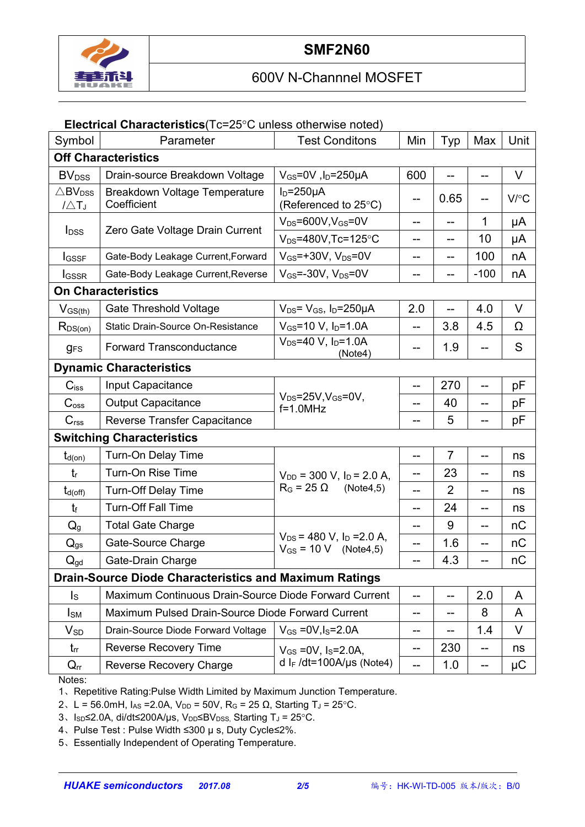

#### **Electrical Characteristics**(Tc=25°C unless otherwise noted)

| Symbol                                             | Parameter                                                     | <b>Test Conditons</b>                                         | Min               | Typ            | Max    | Unit   |  |  |
|----------------------------------------------------|---------------------------------------------------------------|---------------------------------------------------------------|-------------------|----------------|--------|--------|--|--|
| <b>Off Characteristics</b>                         |                                                               |                                                               |                   |                |        |        |  |  |
| <b>BV</b> <sub>DSS</sub>                           | Drain-source Breakdown Voltage                                | $V_{GS}$ =0V, l <sub>D</sub> =250µA                           | 600               |                |        | V      |  |  |
| $\triangle$ BV <sub>DSS</sub><br>$1/\triangle T_J$ | Breakdown Voltage Temperature<br>Coefficient                  | $I_D = 250 \mu A$<br>(Referenced to 25°C)                     | --                | 0.65           |        | V/C    |  |  |
|                                                    |                                                               | $V_{DS} = 600V$ , $V_{GS} = 0V$                               | --                | --             | 1.     | μA     |  |  |
| $I_{DSS}$                                          | Zero Gate Voltage Drain Current                               | $V_{DS} = 480V$ , Tc=125°C                                    | --                | --             | 10     | μA     |  |  |
| <b>I</b> GSSF                                      | Gate-Body Leakage Current, Forward                            | $V_{GS}$ =+30V, $V_{DS}$ =0V                                  | --                | --             | 100    | nA     |  |  |
| <b>I</b> GSSR                                      | Gate-Body Leakage Current, Reverse                            | $V_{GS}$ =-30V, $V_{DS}$ =0V                                  | --                | --             | $-100$ | nA     |  |  |
| <b>On Characteristics</b>                          |                                                               |                                                               |                   |                |        |        |  |  |
| $V_{GS(th)}$                                       | <b>Gate Threshold Voltage</b>                                 | $V_{DS} = V_{GS}$ , $I_D = 250 \mu A$                         | 2.0               | --             | 4.0    | $\vee$ |  |  |
| $R_{DS(on)}$                                       | Static Drain-Source On-Resistance                             | $V_{GS}$ =10 V, $I_{D}$ =1.0A                                 | $-$               | 3.8            | 4.5    | Ω      |  |  |
| <b>gFS</b>                                         | <b>Forward Transconductance</b>                               | $V_{DS} = 40 V$ , $I_D = 1.0 A$<br>(Note4)                    | --                | 1.9            |        | S      |  |  |
|                                                    | <b>Dynamic Characteristics</b>                                |                                                               |                   |                |        |        |  |  |
| $C$ <sub>iss</sub>                                 | Input Capacitance                                             |                                                               | $-$               | 270            |        | pF     |  |  |
| C <sub>oss</sub>                                   | <b>Output Capacitance</b>                                     | $V_{DS} = 25V$ , $V_{GS} = 0V$ ,<br>$f=1.0$ MHz               | --                | 40             | $-$    | рF     |  |  |
| C <sub>rss</sub>                                   | <b>Reverse Transfer Capacitance</b>                           |                                                               | --                | 5              |        | pF     |  |  |
|                                                    | <b>Switching Characteristics</b>                              |                                                               |                   |                |        |        |  |  |
| $t_{d(on)}$                                        | Turn-On Delay Time                                            |                                                               | --                | 7              |        | ns     |  |  |
| $t_{\rm r}$                                        | Turn-On Rise Time                                             | $V_{DD}$ = 300 V, $I_D$ = 2.0 A,                              | --                | 23             | --     | ns     |  |  |
| $t_{d(off)}$                                       | <b>Turn-Off Delay Time</b>                                    | $R_G = 25 \Omega$<br>(Note4,5)                                | --                | $\overline{2}$ | --     | ns     |  |  |
| $t_{\rm f}$                                        | <b>Turn-Off Fall Time</b>                                     |                                                               | --                | 24             | --     | ns     |  |  |
| $Q_g$                                              | <b>Total Gate Charge</b>                                      |                                                               | --                | 9              | --     | nC     |  |  |
| $Q_{gs}$                                           | Gate-Source Charge                                            | $V_{DS}$ = 480 V, $I_D$ = 2.0 A,<br>$V_{GS} = 10 V$ (Note4,5) | --                | 1.6            |        | nC     |  |  |
| $Q_{gd}$                                           | Gate-Drain Charge                                             |                                                               |                   | 4.3            |        | nC     |  |  |
|                                                    | <b>Drain-Source Diode Characteristics and Maximum Ratings</b> |                                                               |                   |                |        |        |  |  |
| $\mathsf{I}_\mathsf{S}$                            | Maximum Continuous Drain-Source Diode Forward Current         |                                                               | --                | --             | 2.0    | A      |  |  |
| $I_{SM}$                                           | Maximum Pulsed Drain-Source Diode Forward Current             |                                                               | --                | --             | 8      | A      |  |  |
| $V_{SD}$                                           | Drain-Source Diode Forward Voltage                            | $V_{GS} = 0V, I_S = 2.0A$                                     | --                | --             | 1.4    | $\vee$ |  |  |
| $t_{rr}$                                           | Reverse Recovery Time                                         | $V_{GS}$ = 0V, $I_S$ = 2.0A,                                  | $\qquad \qquad -$ | 230            | $- -$  | ns     |  |  |
| $Q_{rr}$                                           | <b>Reverse Recovery Charge</b>                                | d I <sub>F</sub> /dt=100A/µs (Note4)                          | $-$               | 1.0            | $-$    | μC     |  |  |

Notes:

1、Repetitive Rating:Pulse Width Limited by Maximum Junction Temperature.

2、L = 56.0mH, I<sub>AS</sub> = 2.0A, V<sub>DD</sub> = 50V, R<sub>G</sub> = 25 Ω, Starting T<sub>J</sub> = 25 °C.

3、Isp≤2.0A, di/dt≤200A/µs, V<sub>DD</sub>≤BV<sub>DSS,</sub> Starting T<sub>J</sub> = 25°C.

4、Pulse Test : Pulse Width ≤300 µ s, Duty Cycle≤2%.

5、Essentially Independent of Operating Temperature.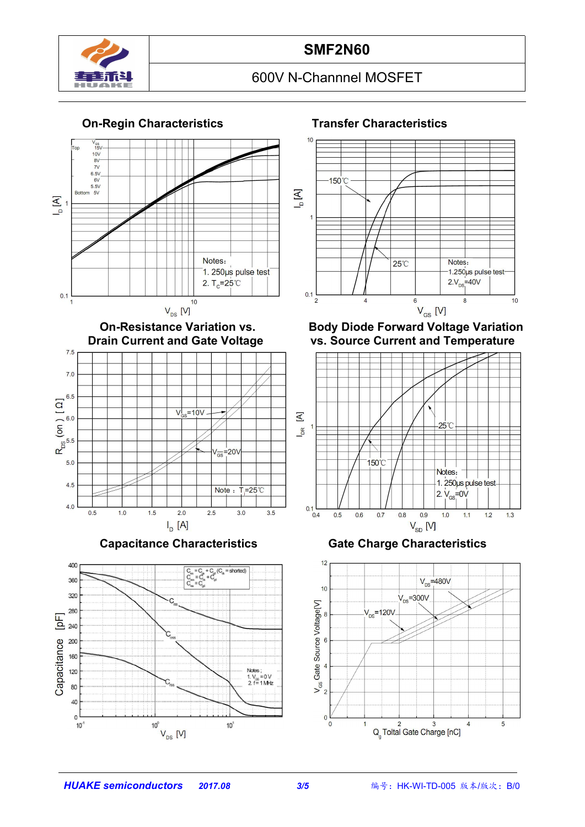











#### **On-Resistance Variation vs. Body Diode Forward Voltage Variation vs. Source Current and Temperature**



#### **Capacitance Characteristics Gate Charge Characteristics**

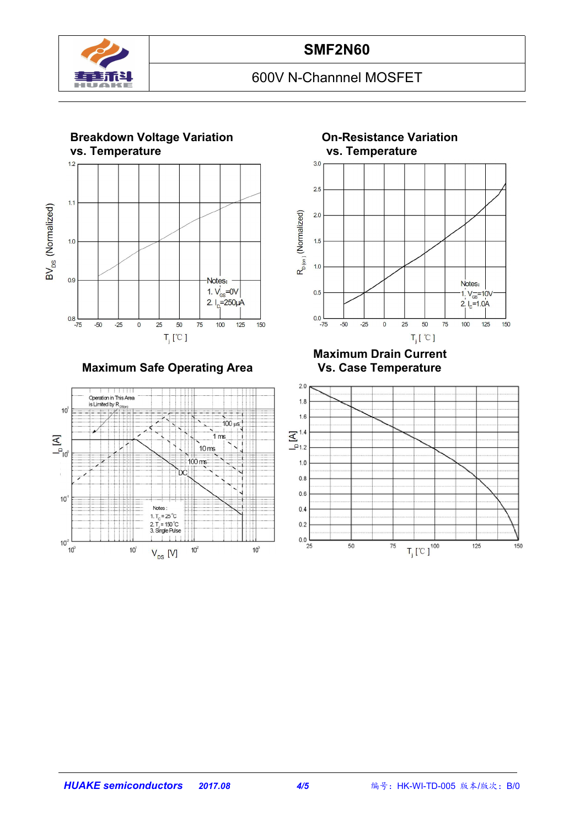



**Maximum Safe Operating Area** 



 $2.5$  $R_{p_{(on)}}$  (Normalized)  $2.0$  $1.5$  $1.0$ Notes:  $0.5$ 1.  $V_{\rm cs} = 10V$  $2.1<sub>b</sub>=1.0A$  $0.0$  $-50$ 25 50  $75$  $-75$  $-25$  $\overline{0}$ 100 125 150  $T_i$ [  $^{\circ}$  C ]

# **Maximum Drain Current**